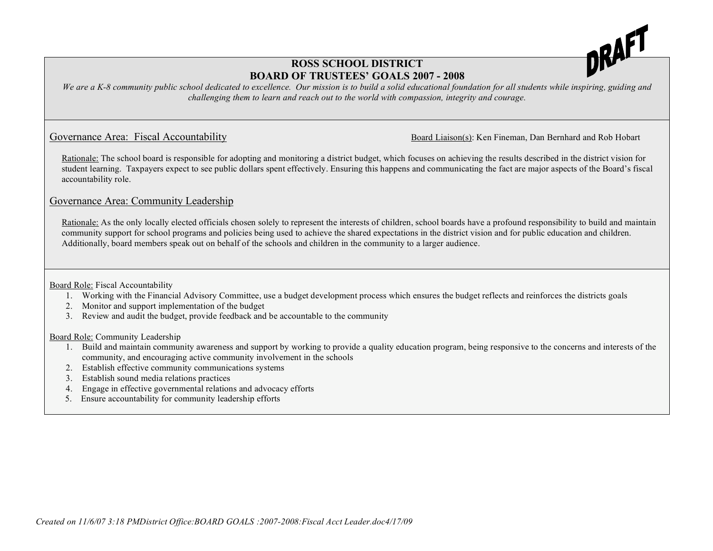

## **ROSS SCHOOL DISTRICT BOARD OF TRUSTEES' GOALS 2007 - 2008**

We are a K-8 community public school dedicated to excellence. Our mission is to build a solid educational foundation for all students while inspiring, guiding and *challenging them to learn and reach out to the world with compassion, integrity and courage.*

Governance Area: Fiscal Accountability Board Liaison(s): Ken Fineman, Dan Bernhard and Rob Hobart

Rationale: The school board is responsible for adopting and monitoring a district budget, which focuses on achieving the results described in the district vision for student learning. Taxpayers expect to see public dollars spent effectively. Ensuring this happens and communicating the fact are major aspects of the Board's fiscal accountability role.

## Governance Area: Community Leadership

Rationale: As the only locally elected officials chosen solely to represent the interests of children, school boards have a profound responsibility to build and maintain community support for school programs and policies being used to achieve the shared expectations in the district vision and for public education and children. Additionally, board members speak out on behalf of the schools and children in the community to a larger audience.

Board Role: Fiscal Accountability

- 1. Working with the Financial Advisory Committee, use a budget development process which ensures the budget reflects and reinforces the districts goals
- 2. Monitor and support implementation of the budget
- 3. Review and audit the budget, provide feedback and be accountable to the community

Board Role: Community Leadership

- 1. Build and maintain community awareness and support by working to provide a quality education program, being responsive to the concerns and interests of the community, and encouraging active community involvement in the schools
- 2. Establish effective community communications systems
- 3. Establish sound media relations practices
- 4. Engage in effective governmental relations and advocacy efforts
- 5. Ensure accountability for community leadership efforts